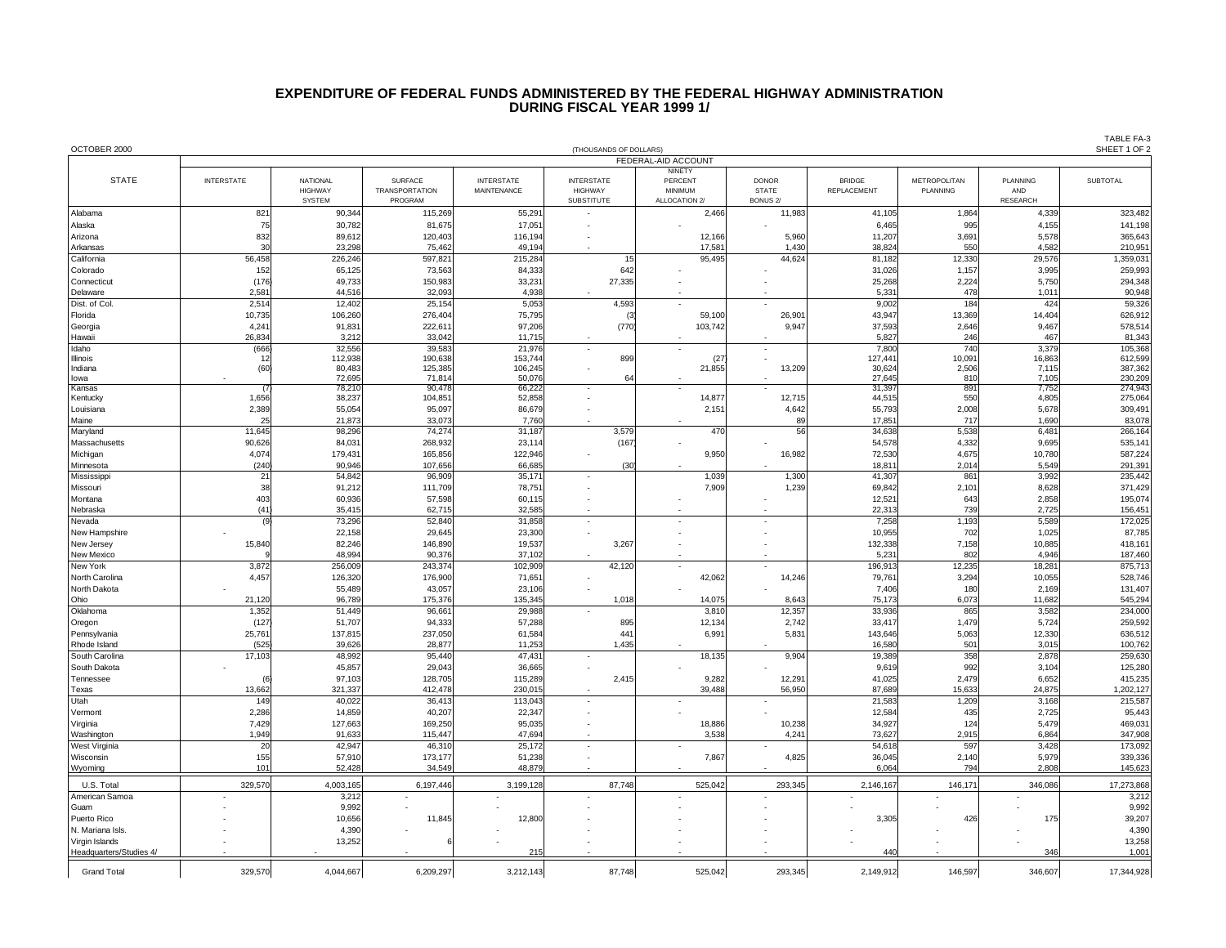## **EXPENDITURE OF FEDERAL FUNDS ADMINISTERED BY THE FEDERAL HIGHWAY ADMINISTRATION DURING FISCAL YEAR 1999 1/**

|                                           |                                               |                                   |                                         |                                         |                                     |                    |                              |                                     |                                 |                 | TABLE FA-3<br>SHEET 1 OF 2 |
|-------------------------------------------|-----------------------------------------------|-----------------------------------|-----------------------------------------|-----------------------------------------|-------------------------------------|--------------------|------------------------------|-------------------------------------|---------------------------------|-----------------|----------------------------|
| OCTOBER 2000                              | (THOUSANDS OF DOLLARS)<br>FEDERAL-AID ACCOUNT |                                   |                                         |                                         |                                     |                    |                              |                                     |                                 |                 |                            |
| <b>STATE</b>                              |                                               |                                   |                                         |                                         |                                     | NINETY             |                              |                                     |                                 |                 |                            |
|                                           | <b>INTERSTATE</b>                             | <b>NATIONAL</b><br><b>HIGHWAY</b> | <b>SURFACE</b><br><b>TRANSPORTATION</b> | <b>INTERSTATE</b><br><b>MAINTENANCE</b> | <b>INTERSTATE</b><br><b>HIGHWAY</b> | PERCENT<br>MINIMUM | <b>DONOR</b><br><b>STATE</b> | <b>BRIDGE</b><br><b>REPLACEMENT</b> | <b>METROPOLITAN</b><br>PLANNING | PLANNING<br>AND | <b>SUBTOTAL</b>            |
|                                           |                                               | <b>SYSTEM</b>                     | PROGRAM                                 |                                         | <b>SUBSTITUTE</b>                   | ALLOCATION 2/      | BONUS <sub>2</sub> /         |                                     |                                 | <b>RESEARCH</b> |                            |
| Alabama                                   | 821<br>75                                     | 90,344                            | 115,269<br>81,675                       | 55,291                                  |                                     | 2,466              | 11,983                       | 41,105                              | 1,864<br>995                    | 4,339           | 323,482                    |
| Alaska<br>Arizona                         | 832                                           | 30,782<br>89,612                  | 120,403                                 | 17,051<br>116,194                       |                                     | 12,166             | 5,960                        | 6,465<br>11,207                     | 3,691                           | 4,155<br>5,578  | 141,198<br>365,643         |
| Arkansas                                  | 3 <sub>C</sub>                                | 23,298                            | 75,462                                  | 49,194                                  |                                     | 17,581             | 1,430                        | 38,824                              | 550                             | 4,582           | 210,951                    |
| California                                | 56,458                                        | 226,246                           | 597,821                                 | 215,284                                 | 15                                  | 95,495             | 44,624                       | 81,182                              | 12,330                          | 29,576          | 1,359,031                  |
| Colorado                                  | 152                                           | 65,125                            | 73,563                                  | 84,333                                  | 642                                 |                    |                              | 31,026                              | 1,157                           | 3,995           | 259,993                    |
| Connecticut<br>Delaware                   | (176)<br>2,581                                | 49,733<br>44,516                  | 150,983<br>32,093                       | 33,231<br>4,938                         | 27,335                              |                    |                              | 25,268<br>5,331                     | 2,224<br>478                    | 5,750<br>1,011  | 294,348<br>90,948          |
| Dist. of Col                              | 2,514                                         | 12,402                            | 25,154                                  | 5,053                                   | 4,593                               |                    |                              | 9,002                               | 184                             | 424             | 59,326                     |
| Florida                                   | 10,735                                        | 106,260                           | 276,404                                 | 75,795                                  | (3                                  | 59,100             | 26,901                       | 43,947                              | 13,369                          | 14,404          | 626,912                    |
| Georgia                                   | 4,241<br>26,834                               | 91,831                            | 222,611<br>33,042                       | 97,206                                  | (770)                               | 103,742            | 9,947                        | 37,593                              | 2,646<br>246                    | 9,467<br>467    | 578,514                    |
| Hawaii<br>Idaho                           | (666)                                         | 3,212<br>32.556                   | 39.583                                  | 11,715<br>21.976                        |                                     |                    |                              | 5,827<br>7,800                      | 740                             | 3.379           | 81,343<br>105,368          |
| Illinois                                  | 12                                            | 112,938                           | 190,638                                 | 153,744                                 | 899                                 | (27)               |                              | 127,441                             | 10,091                          | 16,863          | 612,599                    |
| Indiana<br>lowa                           | (60)                                          | 80,483<br>72,695                  | 125,385<br>71,814                       | 106,245<br>50,076                       | 64                                  | 21,855             | 13,209                       | 30,624<br>27,645                    | 2,506<br>810                    | 7,115<br>7,105  | 387,362<br>230,209         |
| Kansas                                    | $\overline{G}$                                | 78,210                            | 90,478                                  | 66,222                                  |                                     |                    |                              | 31,397                              | 891                             | 7,752           | 274,943                    |
| Kentucky                                  | 1,656                                         | 38,237                            | 104,851                                 | 52,858                                  |                                     | 14,877             | 12.715                       | 44,515                              | 550                             | 4,805           | 275,064                    |
| Louisiana                                 | 2,389<br>25                                   | 55,054                            | 95,097                                  | 86,679                                  |                                     | 2,151              | 4,642                        | 55,793                              | 2,008                           | 5,678           | 309,491<br>83,078          |
| Maine<br>Maryland                         | 11,645                                        | 21,873<br>98,296                  | 33,073<br>74,274                        | 7,760<br>31,187                         | 3,579                               | 470                | 89<br>56                     | 17,851<br>34,638                    | 717<br>5,538                    | 1,690<br>6,481  | 266,164                    |
| Massachusetts                             | 90,626                                        | 84,031                            | 268,932                                 | 23,114                                  | (167)                               |                    |                              | 54,578                              | 4,332                           | 9,695           | 535,14                     |
| Michigan                                  | 4,074                                         | 179,431                           | 165,856                                 | 122,946                                 |                                     | 9,950              | 16,982                       | 72,530                              | 4,675                           | 10,780          | 587,224                    |
| Minnesota                                 | (240                                          | 90,946                            | 107,656                                 | 66,685                                  | (30)                                |                    |                              | 18,811                              | 2,014                           | 5,549           | 291,391                    |
| Mississipp<br>Missouri                    | 21<br>38                                      | 54,842<br>91,212                  | 96,909<br>111,709                       | 35,171<br>78,751                        |                                     | 1,039<br>7,909     | 1,300<br>1,239               | 41,307<br>69,842                    | 861<br>2,101                    | 3,992<br>8,628  | 235,442<br>371,429         |
| Montana                                   | 403                                           | 60,936                            | 57,598                                  | 60,115                                  |                                     |                    |                              | 12,521                              | 643                             | 2,858           | 195,074                    |
| Nebraska                                  | (41)                                          | 35,415                            | 62,715                                  | 32,585                                  |                                     |                    |                              | 22,313                              | 739                             | 2,725           | 156,451                    |
| Nevada                                    | $\epsilon$                                    | 73,296                            | 52,840                                  | 31,858                                  | ÷,                                  |                    |                              | 7,258                               | 1,193                           | 5,589           | 172,025                    |
| New Hampshire<br>New Jersey               | 15,840                                        | 22,158<br>82,246                  | 29,645<br>146,890                       | 23,300<br>19,537                        | 3,267                               |                    |                              | 10,955<br>132,338                   | 702<br>7,158                    | 1,025<br>10,885 | 87,785<br>418,161          |
| New Mexico                                |                                               | 48,994                            | 90,376                                  | 37,102                                  |                                     | ÷.                 |                              | 5,231                               | 802                             | 4,946           | 187,460                    |
| New York                                  | 3,872                                         | 256,009                           | 243,374                                 | 102,909                                 | 42,120                              |                    |                              | 196,913                             | 12,235                          | 18,281          | 875,713                    |
| North Carolina                            | 4,457                                         | 126,320                           | 176,900                                 | 71,651                                  |                                     | 42,062             | 14,246                       | 79,761                              | 3,294                           | 10,055          | 528,746                    |
| North Dakota<br>Ohio                      | 21,120                                        | 55,489<br>96,789                  | 43,057<br>175,376                       | 23,106<br>135,345                       | 1,018                               | 14,075             | 8,643                        | 7,406<br>75,173                     | 180<br>6,073                    | 2,169<br>11,682 | 131,407<br>545,294         |
| Oklahoma                                  | 1,352                                         | 51,449                            | 96,661                                  | 29,988                                  |                                     | 3,810              | 12,357                       | 33,936                              | 865                             | 3,582           | 234,000                    |
| Oregon                                    | (127)                                         | 51,707                            | 94,333                                  | 57,288                                  | 895                                 | 12,134             | 2,742                        | 33,417                              | 1,479                           | 5,724           | 259,592                    |
| Pennsylvania                              | 25,761                                        | 137,815                           | 237,050                                 | 61,584                                  | 441                                 | 6,991              | 5,831                        | 143,646                             | 5,063                           | 12,330          | 636,512                    |
| Rhode Island<br>South Carolina            | (525<br>17,103                                | 39,626<br>48,992                  | 28,877<br>95,440                        | 11,253<br>47,431                        | 1,435                               | 18,135             | 9,904                        | 16,580<br>19,389                    | 501<br>358                      | 3,015<br>2,878  | 100,762<br>259,630         |
| South Dakota                              |                                               | 45,857                            | 29,043                                  | 36,665                                  |                                     |                    |                              | 9,619                               | 992                             | 3,104           | 125,280                    |
| Tennessee                                 | $\epsilon$                                    | 97,103                            | 128,705                                 | 115,289                                 | 2,415                               | 9,282              | 12,291                       | 41,025                              | 2,479                           | 6,652           | 415,235                    |
| Texas                                     | 13,662                                        | 321,337                           | 412,478                                 | 230,015                                 |                                     | 39,488             | 56,950                       | 87,689                              | 15,633                          | 24,875          | 1,202,127                  |
| Utah<br>Vermont                           | 149<br>2,286                                  | 40,022<br>14,859                  | 36,413<br>40,207                        | 113,043<br>22,347                       |                                     |                    |                              | 21,583<br>12,584                    | 1,209<br>435                    | 3,168<br>2,725  | 215,587<br>95,443          |
| Virginia                                  | 7,429                                         | 127,663                           | 169,250                                 | 95,035                                  |                                     | 18,886             | 10,238                       | 34,927                              | 124                             | 5,479           | 469,031                    |
| Washington                                | 1,949                                         | 91,633                            | 115,447                                 | 47,694                                  |                                     | 3,538              | 4,241                        | 73,627                              | 2,915                           | 6,864           | 347,908                    |
| West Virginia                             | 20                                            | 42,947                            | 46,310                                  | 25,172                                  |                                     |                    |                              | 54,618                              | 597                             | 3,428           | 173,092                    |
| Wisconsin<br>Wyoming                      | 155<br>101                                    | 57,910<br>52,428                  | 173,177<br>34,549                       | 51,238<br>48,879                        |                                     | 7,867              | 4,825                        | 36,045<br>6,064                     | 2,140<br>794                    | 5,979<br>2,808  | 339,336<br>145,623         |
|                                           |                                               |                                   |                                         |                                         |                                     |                    |                              |                                     |                                 |                 |                            |
| U.S. Total<br>American Samoa              | 329,570                                       | 4,003,165<br>3,212                | 6,197,446                               | 3,199,128                               | 87,748                              | 525,042            | 293,345                      | 2,146,167                           | 146,171                         | 346,086         | 17,273,868<br>3,212        |
| Guam                                      |                                               | 9,992                             |                                         |                                         |                                     |                    |                              |                                     |                                 |                 | 9,992                      |
| Puerto Rico                               |                                               | 10,656                            | 11,845                                  | 12,800                                  |                                     |                    |                              | 3,305                               | 426                             | 175             | 39,207                     |
| N. Mariana Isls.                          |                                               | 4,390                             |                                         |                                         |                                     |                    |                              |                                     |                                 |                 | 4,390                      |
| Virgin Islands<br>Headquarters/Studies 4/ |                                               | 13,252                            |                                         | 215                                     |                                     |                    |                              | 440                                 |                                 | 346             | 13,258<br>1,001            |
|                                           |                                               |                                   |                                         |                                         |                                     |                    |                              |                                     |                                 |                 |                            |
| <b>Grand Total</b>                        | 329,570                                       | 4.044.667                         | 6.209.297                               | 3.212.143                               | 87.748                              | 525.042            | 293.345                      | 2.149.912                           | 146.597                         | 346,607         | 17,344,928                 |